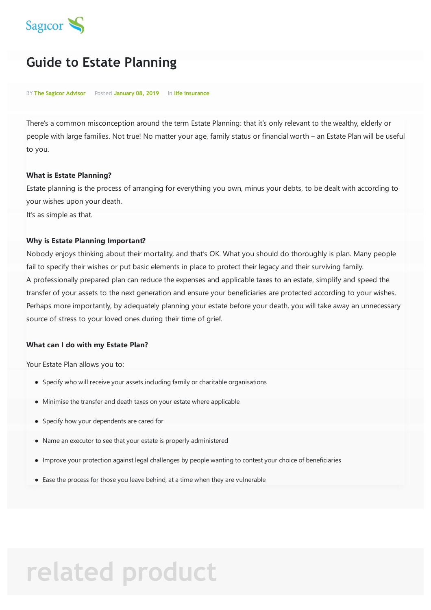

## **Guide to Estate Planning**

BY **The Sagicor Advisor** Posted **January 08, 2019** In **life insurance**

There's a common misconception around the term Estate Planning: that it's only relevant to the wealthy, elderly or people with large families. Not true! No matter your age, family status or financial worth – an Estate Plan will be useful to you.

#### **What is Estate Planning?**

Estate planning is the process of arranging for everything you own, minus your debts, to be dealt with according to your wishes upon your death.

It's as simple as that.

#### **Why is Estate Planning Important?**

Nobody enjoys thinking about their mortality, and that's OK. What you should do thoroughly is plan. Many people fail to specify their wishes or put basic elements in place to protect their legacy and their surviving family. A professionally prepared plan can reduce the expenses and applicable taxes to an estate, simplify and speed the transfer of your assets to the next generation and ensure your beneficiaries are protected according to your wishes. Perhaps more importantly, by adequately planning your estate before your death, you will take away an unnecessary source of stress to your loved ones during their time of grief.

#### **What can I do with my Estate Plan?**

Your Estate Plan allows you to:

- Specify who will receive your assets including family or charitable organisations
- Minimise the transfer and death taxes on your estate where applicable
- Specify how your dependents are cared for
- Name an executor to see that your estate is properly administered
- Improve your protection against legal challenges by people wanting to contest your choice of beneficiaries
- Ease the process for those you leave behind, at a time when they are vulnerable

# **related product**